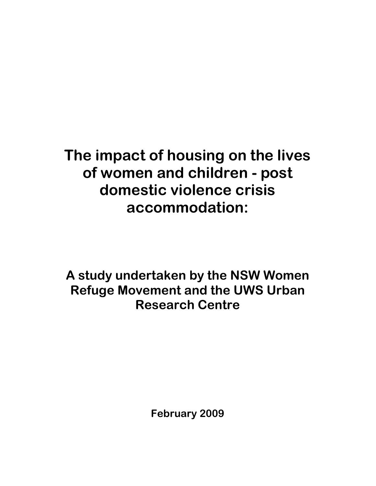# The impact of housing on the lives of women and children - post domestic violence crisis accommodation:

A study undertaken by the NSW Women Refuge Movement and the UWS Urban Research Centre

February 2009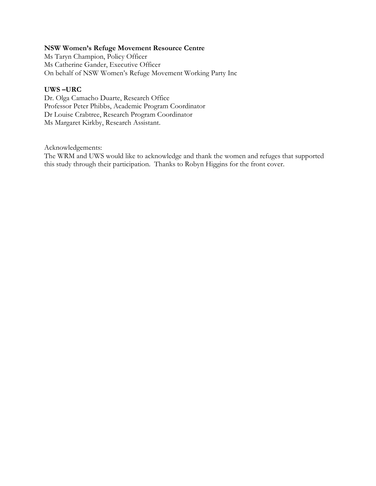#### NSW Women's Refuge Movement Resource Centre

Ms Taryn Champion, Policy Officer Ms Catherine Gander, Executive Officer On behalf of NSW Women's Refuge Movement Working Party Inc

#### UWS –URC

Dr. Olga Camacho Duarte, Research Office Professor Peter Phibbs, Academic Program Coordinator Dr Louise Crabtree, Research Program Coordinator Ms Margaret Kirkby, Research Assistant.

Acknowledgements:

The WRM and UWS would like to acknowledge and thank the women and refuges that supported this study through their participation. Thanks to Robyn Higgins for the front cover.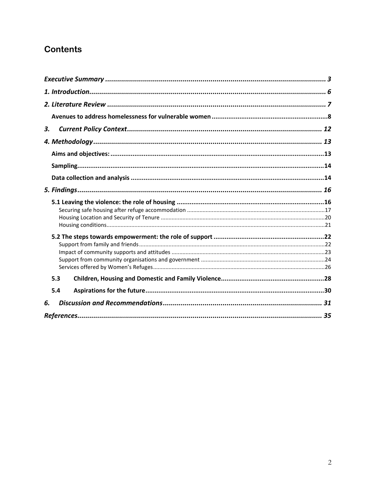## **Contents**

| 3. |     |  |  |
|----|-----|--|--|
|    |     |  |  |
|    |     |  |  |
|    |     |  |  |
|    |     |  |  |
|    |     |  |  |
|    |     |  |  |
|    |     |  |  |
|    |     |  |  |
|    |     |  |  |
|    |     |  |  |
|    |     |  |  |
|    |     |  |  |
|    |     |  |  |
|    | 5.3 |  |  |
|    | 5.4 |  |  |
| 6. |     |  |  |
|    |     |  |  |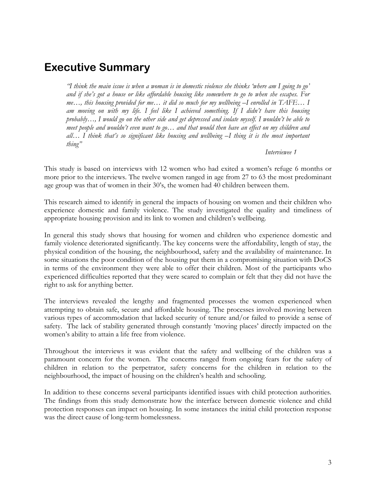## Executive Summary

"I think the main issue is when a woman is in domestic violence she thinks 'where am I going to go' and if she's got a house or like affordable housing like somewhere to go to when she escapes. For me…, this housing provided for me… it did so much for my wellbeing –I enrolled in TAFE… I am moving on with my life. I feel like I achieved something. If I didn't have this housing probably…, I would go on the other side and get depressed and isolate myself. I wouldn't be able to meet people and wouldn't even want to go... and that would then have an effect on my children and all… I think that's so significant like housing and wellbeing –I thing it is the most important thing"

Interviewee 1

This study is based on interviews with 12 women who had exited a women's refuge 6 months or more prior to the interviews. The twelve women ranged in age from 27 to 63 the most predominant age group was that of women in their 30's, the women had 40 children between them.

This research aimed to identify in general the impacts of housing on women and their children who experience domestic and family violence. The study investigated the quality and timeliness of appropriate housing provision and its link to women and children's wellbeing.

In general this study shows that housing for women and children who experience domestic and family violence deteriorated significantly. The key concerns were the affordability, length of stay, the physical condition of the housing, the neighbourhood, safety and the availability of maintenance. In some situations the poor condition of the housing put them in a compromising situation with DoCS in terms of the environment they were able to offer their children. Most of the participants who experienced difficulties reported that they were scared to complain or felt that they did not have the right to ask for anything better.

The interviews revealed the lengthy and fragmented processes the women experienced when attempting to obtain safe, secure and affordable housing. The processes involved moving between various types of accommodation that lacked security of tenure and/or failed to provide a sense of safety. The lack of stability generated through constantly 'moving places' directly impacted on the women's ability to attain a life free from violence.

Throughout the interviews it was evident that the safety and wellbeing of the children was a paramount concern for the women. The concerns ranged from ongoing fears for the safety of children in relation to the perpetrator, safety concerns for the children in relation to the neighbourhood, the impact of housing on the children's health and schooling.

In addition to these concerns several participants identified issues with child protection authorities. The findings from this study demonstrate how the interface between domestic violence and child protection responses can impact on housing. In some instances the initial child protection response was the direct cause of long-term homelessness.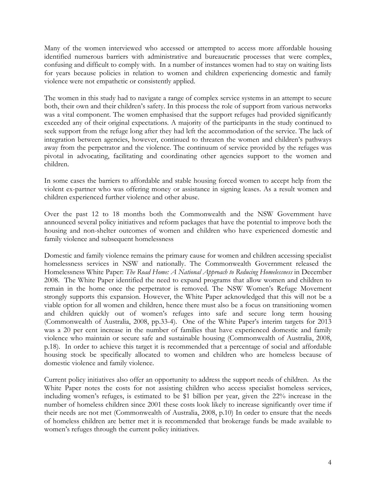Many of the women interviewed who accessed or attempted to access more affordable housing identified numerous barriers with administrative and bureaucratic processes that were complex, confusing and difficult to comply with. In a number of instances women had to stay on waiting lists for years because policies in relation to women and children experiencing domestic and family violence were not empathetic or consistently applied.

The women in this study had to navigate a range of complex service systems in an attempt to secure both, their own and their children's safety. In this process the role of support from various networks was a vital component. The women emphasised that the support refuges had provided significantly exceeded any of their original expectations. A majority of the participants in the study continued to seek support from the refuge long after they had left the accommodation of the service. The lack of integration between agencies, however, continued to threaten the women and children's pathways away from the perpetrator and the violence. The continuum of service provided by the refuges was pivotal in advocating, facilitating and coordinating other agencies support to the women and children.

In some cases the barriers to affordable and stable housing forced women to accept help from the violent ex-partner who was offering money or assistance in signing leases. As a result women and children experienced further violence and other abuse.

Over the past 12 to 18 months both the Commonwealth and the NSW Government have announced several policy initiatives and reform packages that have the potential to improve both the housing and non-shelter outcomes of women and children who have experienced domestic and family violence and subsequent homelessness

Domestic and family violence remains the primary cause for women and children accessing specialist homelessness services in NSW and nationally. The Commonwealth Government released the Homelessness White Paper: The Road Home: A National Approach to Reducing Homelessness in December 2008. The White Paper identified the need to expand programs that allow women and children to remain in the home once the perpetrator is removed. The NSW Women's Refuge Movement strongly supports this expansion. However, the White Paper acknowledged that this will not be a viable option for all women and children, hence there must also be a focus on transitioning women and children quickly out of women's refuges into safe and secure long term housing (Commonwealth of Australia, 2008, pp.33-4). One of the White Paper's interim targets for 2013 was a 20 per cent increase in the number of families that have experienced domestic and family violence who maintain or secure safe and sustainable housing (Commonwealth of Australia, 2008, p.18). In order to achieve this target it is recommended that a percentage of social and affordable housing stock be specifically allocated to women and children who are homeless because of domestic violence and family violence.

Current policy initiatives also offer an opportunity to address the support needs of children. As the White Paper notes the costs for not assisting children who access specialist homeless services, including women's refuges, is estimated to be \$1 billion per year, given the 22% increase in the number of homeless children since 2001 these costs look likely to increase significantly over time if their needs are not met (Commonwealth of Australia, 2008, p.10) In order to ensure that the needs of homeless children are better met it is recommended that brokerage funds be made available to women's refuges through the current policy initiatives.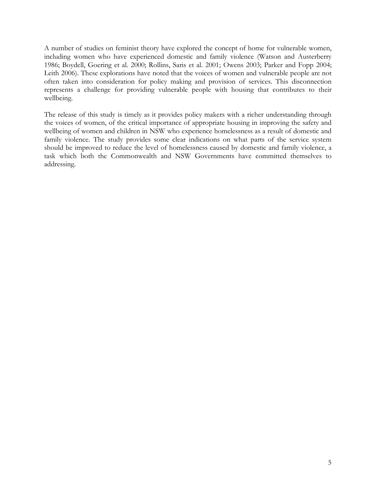A number of studies on feminist theory have explored the concept of home for vulnerable women, including women who have experienced domestic and family violence (Watson and Austerberry 1986; Boydell, Goering et al. 2000; Rollins, Saris et al. 2001; Owens 2003; Parker and Fopp 2004; Leith 2006). These explorations have noted that the voices of women and vulnerable people are not often taken into consideration for policy making and provision of services. This disconnection represents a challenge for providing vulnerable people with housing that contributes to their wellbeing.

The release of this study is timely as it provides policy makers with a richer understanding through the voices of women, of the critical importance of appropriate housing in improving the safety and wellbeing of women and children in NSW who experience homelessness as a result of domestic and family violence. The study provides some clear indications on what parts of the service system should be improved to reduce the level of homelessness caused by domestic and family violence, a task which both the Commonwealth and NSW Governments have committed themselves to addressing.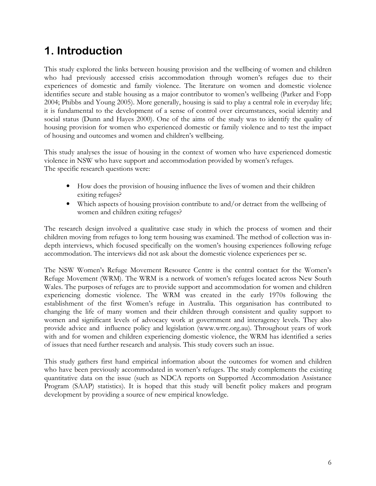## 1. Introduction

This study explored the links between housing provision and the wellbeing of women and children who had previously accessed crisis accommodation through women's refuges due to their experiences of domestic and family violence. The literature on women and domestic violence identifies secure and stable housing as a major contributor to women's wellbeing (Parker and Fopp 2004; Phibbs and Young 2005). More generally, housing is said to play a central role in everyday life; it is fundamental to the development of a sense of control over circumstances, social identity and social status (Dunn and Hayes 2000). One of the aims of the study was to identify the quality of housing provision for women who experienced domestic or family violence and to test the impact of housing and outcomes and women and children's wellbeing.

This study analyses the issue of housing in the context of women who have experienced domestic violence in NSW who have support and accommodation provided by women's refuges. The specific research questions were:

- How does the provision of housing influence the lives of women and their children exiting refuges?
- Which aspects of housing provision contribute to and/or detract from the wellbeing of women and children exiting refuges?

The research design involved a qualitative case study in which the process of women and their children moving from refuges to long term housing was examined. The method of collection was indepth interviews, which focused specifically on the women's housing experiences following refuge accommodation. The interviews did not ask about the domestic violence experiences per se.

The NSW Women's Refuge Movement Resource Centre is the central contact for the Women's Refuge Movement (WRM). The WRM is a network of women's refuges located across New South Wales. The purposes of refuges are to provide support and accommodation for women and children experiencing domestic violence. The WRM was created in the early 1970s following the establishment of the first Women's refuge in Australia. This organisation has contributed to changing the life of many women and their children through consistent and quality support to women and significant levels of advocacy work at government and interagency levels. They also provide advice and influence policy and legislation (www.wrrc.org.au). Throughout years of work with and for women and children experiencing domestic violence, the WRM has identified a series of issues that need further research and analysis. This study covers such an issue.

This study gathers first hand empirical information about the outcomes for women and children who have been previously accommodated in women's refuges. The study complements the existing quantitative data on the issue (such as NDCA reports on Supported Accommodation Assistance Program (SAAP) statistics). It is hoped that this study will benefit policy makers and program development by providing a source of new empirical knowledge.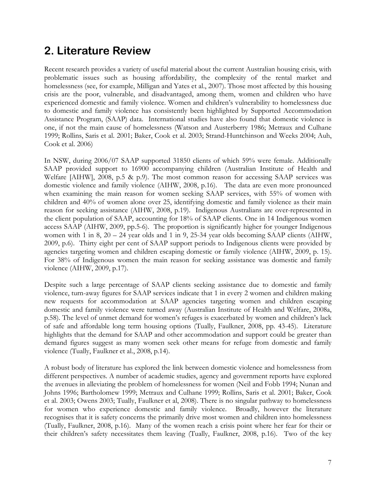## 2. Literature Review

Recent research provides a variety of useful material about the current Australian housing crisis, with problematic issues such as housing affordability, the complexity of the rental market and homelessness (see, for example, Milligan and Yates et al., 2007). Those most affected by this housing crisis are the poor, vulnerable, and disadvantaged, among them, women and children who have experienced domestic and family violence. Women and children's vulnerability to homelessness due to domestic and family violence has consistently been highlighted by Supported Accommodation Assistance Program, (SAAP) data. International studies have also found that domestic violence is one, if not the main cause of homelessness (Watson and Austerberry 1986; Metraux and Culhane 1999; Rollins, Saris et al. 2001; Baker, Cook et al. 2003; Strand-Huntchinson and Weeks 2004; Auh, Cook et al. 2006)

In NSW, during 2006/07 SAAP supported 31850 clients of which 59% were female. Additionally SAAP provided support to 16900 accompanying children (Australian Institute of Health and Welfare [AIHW], 2008, p.5 & p.9). The most common reason for accessing SAAP services was domestic violence and family violence (AIHW, 2008, p.16). The data are even more pronounced when examining the main reason for women seeking SAAP services, with 55% of women with children and 40% of women alone over 25, identifying domestic and family violence as their main reason for seeking assistance (AIHW, 2008, p.19). Indigenous Australians are over-represented in the client population of SAAP, accounting for 18% of SAAP clients. One in 14 Indigenous women access SAAP (AIHW, 2009, pp.5-6). The proportion is significantly higher for younger Indigenous women with 1 in 8, 20 – 24 year olds and 1 in 9, 25-34 year olds becoming SAAP clients (AIHW, 2009, p.6). Thirty eight per cent of SAAP support periods to Indigenous clients were provided by agencies targeting women and children escaping domestic or family violence (AIHW, 2009, p. 15). For 38% of Indigenous women the main reason for seeking assistance was domestic and family violence (AIHW, 2009, p.17).

Despite such a large percentage of SAAP clients seeking assistance due to domestic and family violence, turn-away figures for SAAP services indicate that 1 in every 2 women and children making new requests for accommodation at SAAP agencies targeting women and children escaping domestic and family violence were turned away (Australian Institute of Health and Welfare, 2008a, p.58). The level of unmet demand for women's refuges is exacerbated by women and children's lack of safe and affordable long term housing options (Tually, Faulkner, 2008, pp. 43-45). Literature highlights that the demand for SAAP and other accommodation and support could be greater than demand figures suggest as many women seek other means for refuge from domestic and family violence (Tually, Faulkner et al., 2008, p.14).

A robust body of literature has explored the link between domestic violence and homelessness from different perspectives. A number of academic studies, agency and government reports have explored the avenues in alleviating the problem of homelessness for women (Neil and Fobb 1994; Nunan and Johns 1996; Bartholomew 1999; Metraux and Culhane 1999; Rollins, Saris et al. 2001; Baker, Cook et al. 2003; Owens 2003; Tually, Faulkner et al, 2008). There is no singular pathway to homelessness for women who experience domestic and family violence. Broadly, however the literature recognises that it is safety concerns the primarily drive most women and children into homelessness (Tually, Faulkner, 2008, p.16). Many of the women reach a crisis point where her fear for their or their children's safety necessitates them leaving (Tually, Faulkner, 2008, p.16). Two of the key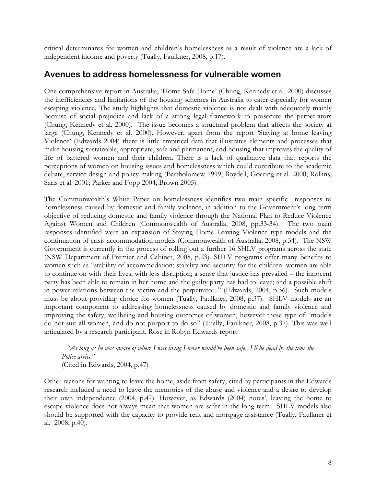critical determinants for women and children's homelessness as a result of violence are a lack of independent income and poverty (Tually, Faulkner, 2008, p.17).

#### Avenues to address homelessness for vulnerable women

One comprehensive report in Australia, 'Home Safe Home' (Chung, Kennedy et al. 2000) discusses the inefficiencies and limitations of the housing schemes in Australia to cater especially for women escaping violence. The study highlights that domestic violence is not dealt with adequately mainly because of social prejudice and lack of a strong legal framework to prosecute the perpetrators (Chung, Kennedy et al. 2000). The issue becomes a structural problem that affects the society at large (Chung, Kennedy et al. 2000). However, apart from the report 'Staying at home leaving Violence' (Edwards 2004) there is little empirical data that illustrates elements and processes that make housing sustainable, appropriate, safe and permanent, and housing that improves the quality of life of battered women and their children. There is a lack of qualitative data that reports the perceptions of women on housing issues and homelessness which could contribute to the academic debate, service design and policy making (Bartholomew 1999; Boydell, Goering et al. 2000; Rollins, Saris et al. 2001; Parker and Fopp 2004; Brown 2005).

The Commonwealth's White Paper on homelessness identifies two main specific responses to homelessness caused by domestic and family violence, in addition to the Government's long term objective of reducing domestic and family violence through the National Plan to Reduce Violence Against Women and Children (Commonwealth of Australia, 2008, pp.33-34). The two main responses identified were an expansion of Staying Home Leaving Violence type models and the continuation of crisis accommodation models (Commonwealth of Australia, 2008, p.34). The NSW Government is currently in the process of rolling out a further 16 SHLV programs across the state (NSW Department of Premier and Cabinet, 2008, p.23). SHLV programs offer many benefits to women such as "stability of accommodation; stability and security for the children: women are able to continue on with their lives, with less disruption; a sense that justice has prevailed – the innocent party has been able to remain in her home and the guilty party has had to leave; and a possible shift in power relations between the victim and the perpetrator.." (Edwards, 2004, p.36). Such models must be about providing choice for women (Tually, Faulkner, 2008, p.37). SHLV models are an important component to addressing homelessness caused by domestic and family violence and improving the safety, wellbeing and housing outcomes of women, however these type of "models do not suit all women, and do not purport to do so" (Tually, Faulkner, 2008, p.37). This was well articulated by a research participant, Rose in Robyn Edwards report:

"As long as he was aware of where I was living I never would've been safe...I'll be dead by the time the Police arrive" (Cited in Edwards, 2004, p.47)

Other reasons for wanting to leave the home, aside from safety, cited by participants in the Edwards research included a need to leave the memories of the abuse and violence and a desire to develop their own independence (2004, p.47). However, as Edwards (2004) notes', leaving the home to escape violence does not always mean that women are safer in the long term. SHLV models also should be supported with the capacity to provide rent and mortgage assistance (Tually, Faulkner et al. 2008, p.40).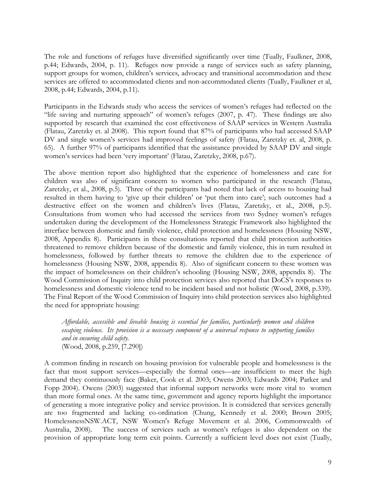The role and functions of refuges have diversified significantly over time (Tually, Faulkner, 2008, p.44; Edwards, 2004, p. 11). Refuges now provide a range of services such as safety planning, support groups for women, children's services, advocacy and transitional accommodation and these services are offered to accommodated clients and non-accommodated clients (Tually, Faulkner et al, 2008, p.44; Edwards, 2004, p.11).

Participants in the Edwards study who access the services of women's refuges had reflected on the "life saving and nurturing approach" of women's refuges (2007, p. 47). These findings are also supported by research that examined the cost effectiveness of SAAP services in Western Australia (Flatau, Zaretzky et. al 2008). This report found that 87% of participants who had accessed SAAP DV and single women's services had improved feelings of safety (Flatau, Zaretzky et. al, 2008, p. 65). A further 97% of participants identified that the assistance provided by SAAP DV and single women's services had been 'very important' (Flatau, Zaretzky, 2008, p.67).

The above mention report also highlighted that the experience of homelessness and care for children was also of significant concern to women who participated in the research (Flatau, Zaretzky, et al., 2008, p.5). Three of the participants had noted that lack of access to housing had resulted in them having to 'give up their children' or 'put them into care'; such outcomes had a destructive effect on the women and children's lives (Flatau, Zaretzky, et al., 2008, p.5). Consultations from women who had accessed the services from two Sydney women's refuges undertaken during the development of the Homelessness Strategic Framework also highlighted the interface between domestic and family violence, child protection and homelessness (Housing NSW, 2008, Appendix 8). Participants in these consultations reported that child protection authorities threatened to remove children because of the domestic and family violence, this in turn resulted in homelessness, followed by further threats to remove the children due to the experience of homelessness (Housing NSW, 2008, appendix 8). Also of significant concern to these women was the impact of homelessness on their children's schooling (Housing NSW, 2008, appendix 8). The Wood Commission of Inquiry into child protection services also reported that DoCS's responses to homelessness and domestic violence tend to be incident based and not holistic (Wood, 2008, p.339). The Final Report of the Wood Commission of Inquiry into child protection services also highlighted the need for appropriate housing:

Affordable, accessible and liveable housing is essential for families, particularly women and children escaping violence. Its provision is a necessary component of a universal response to supporting families and in ensuring child safety. (Wood, 2008, p.259, [7.290])

A common finding in research on housing provision for vulnerable people and homelessness is the fact that most support services—especially the formal ones—are insufficient to meet the high demand they continuously face (Baker, Cook et al. 2003; Owens 2003; Edwards 2004; Parker and Fopp 2004). Owens (2003) suggested that informal support networks were more vital to women than more formal ones. At the same time, government and agency reports highlight the importance of generating a more integrative policy and service provision. It is considered that services generally are too fragmented and lacking co-ordination (Chung, Kennedy et al. 2000; Brown 2005; HomelessnessNSW.ACT, NSW Women's Refuge Movement et al. 2006, Commonwealth of Australia, 2008). The success of services such as women's refuges is also dependent on the provision of appropriate long term exit points. Currently a sufficient level does not exist (Tually,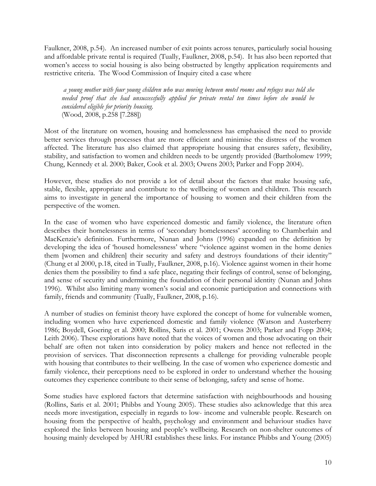Faulkner, 2008, p.54). An increased number of exit points across tenures, particularly social housing and affordable private rental is required (Tually, Faulkner, 2008, p.54). It has also been reported that women's access to social housing is also being obstructed by lengthy application requirements and restrictive criteria. The Wood Commission of Inquiry cited a case where

a young mother with four young children who was moving between motel rooms and refuges was told she needed proof that she had unsuccessfully applied for private rental ten times before she would be considered eligible for priority housing. (Wood, 2008, p.258 [7.288])

Most of the literature on women, housing and homelessness has emphasised the need to provide better services through processes that are more efficient and minimise the distress of the women affected. The literature has also claimed that appropriate housing that ensures safety, flexibility, stability, and satisfaction to women and children needs to be urgently provided (Bartholomew 1999; Chung, Kennedy et al. 2000; Baker, Cook et al. 2003; Owens 2003; Parker and Fopp 2004).

However, these studies do not provide a lot of detail about the factors that make housing safe, stable, flexible, appropriate and contribute to the wellbeing of women and children. This research aims to investigate in general the importance of housing to women and their children from the perspective of the women.

In the case of women who have experienced domestic and family violence, the literature often describes their homelessness in terms of 'secondary homelessness' according to Chamberlain and MacKenzie's definition. Furthermore, Nunan and Johns (1996) expanded on the definition by developing the idea of 'housed homelessness' where "violence against women in the home denies them [women and children] their security and safety and destroys foundations of their identity" (Chung et al 2000, p.18, cited in Tually, Faulkner, 2008, p.16). Violence against women in their home denies them the possibility to find a safe place, negating their feelings of control, sense of belonging, and sense of security and undermining the foundation of their personal identity (Nunan and Johns 1996). Whilst also limiting many women's social and economic participation and connections with family, friends and community (Tually, Faulkner, 2008, p.16).

A number of studies on feminist theory have explored the concept of home for vulnerable women, including women who have experienced domestic and family violence (Watson and Austerberry 1986; Boydell, Goering et al. 2000; Rollins, Saris et al. 2001; Owens 2003; Parker and Fopp 2004; Leith 2006). These explorations have noted that the voices of women and those advocating on their behalf are often not taken into consideration by policy makers and hence not reflected in the provision of services. That disconnection represents a challenge for providing vulnerable people with housing that contributes to their wellbeing. In the case of women who experience domestic and family violence, their perceptions need to be explored in order to understand whether the housing outcomes they experience contribute to their sense of belonging, safety and sense of home.

Some studies have explored factors that determine satisfaction with neighbourhoods and housing (Rollins, Saris et al. 2001; Phibbs and Young 2005). These studies also acknowledge that this area needs more investigation, especially in regards to low- income and vulnerable people. Research on housing from the perspective of health, psychology and environment and behaviour studies have explored the links between housing and people's wellbeing. Research on non-shelter outcomes of housing mainly developed by AHURI establishes these links. For instance Phibbs and Young (2005)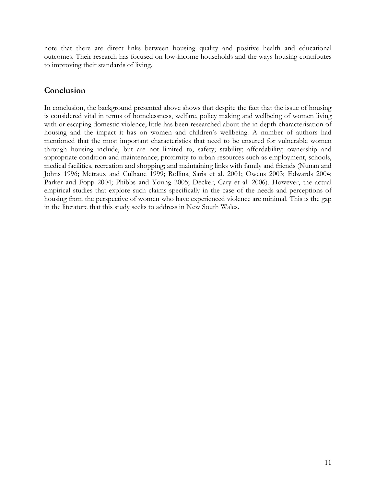note that there are direct links between housing quality and positive health and educational outcomes. Their research has focused on low-income households and the ways housing contributes to improving their standards of living.

### Conclusion

In conclusion, the background presented above shows that despite the fact that the issue of housing is considered vital in terms of homelessness, welfare, policy making and wellbeing of women living with or escaping domestic violence, little has been researched about the in-depth characterisation of housing and the impact it has on women and children's wellbeing. A number of authors had mentioned that the most important characteristics that need to be ensured for vulnerable women through housing include, but are not limited to, safety; stability; affordability; ownership and appropriate condition and maintenance; proximity to urban resources such as employment, schools, medical facilities, recreation and shopping; and maintaining links with family and friends (Nunan and Johns 1996; Metraux and Culhane 1999; Rollins, Saris et al. 2001; Owens 2003; Edwards 2004; Parker and Fopp 2004; Phibbs and Young 2005; Decker, Cary et al. 2006). However, the actual empirical studies that explore such claims specifically in the case of the needs and perceptions of housing from the perspective of women who have experienced violence are minimal. This is the gap in the literature that this study seeks to address in New South Wales.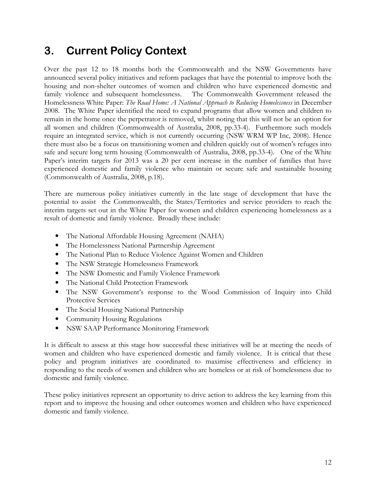## 3. Current Policy Context

Over the past 12 to 18 months both the Commonwealth and the NSW Governments have announced several policy initiatives and reform packages that have the potential to improve both the housing and non-shelter outcomes of women and children who have experienced domestic and family violence and subsequent homelessness. The Commonwealth Government released the Homelessness White Paper: The Road Home: A National Approach to Reducing Homelessness in December 2008. The White Paper identified the need to expand programs that allow women and children to remain in the home once the perpetrator is removed, whilst noting that this will not be an option for all women and children (Commonwealth of Australia, 2008, pp.33-4). Furthermore such models require an integrated service, which is not currently occurring (NSW WRM WP Inc, 2008). Hence there must also be a focus on transitioning women and children quickly out of women's refuges into safe and secure long term housing (Commonwealth of Australia, 2008, pp.33-4). One of the White Paper's interim targets for 2013 was a 20 per cent increase in the number of families that have experienced domestic and family violence who maintain or secure safe and sustainable housing (Commonwealth of Australia, 2008, p.18).

There are numerous policy initiatives currently in the late stage of development that have the potential to assist the Commonwealth, the States/Territories and service providers to reach the interim targets set out in the White Paper for women and children experiencing homelessness as a result of domestic and family violence. Broadly these include:

- The National Affordable Housing Agreement (NAHA)
- The Homelessness National Partnership Agreement
- The National Plan to Reduce Violence Against Women and Children
- The NSW Strategic Homelessness Framework
- The NSW Domestic and Family Violence Framework
- The National Child Protection Framework
- The NSW Government's response to the Wood Commission of Inquiry into Child Protective Services
- The Social Housing National Partnership
- Community Housing Regulations
- NSW SAAP Performance Monitoring Framework

It is difficult to assess at this stage how successful these initiatives will be at meeting the needs of women and children who have experienced domestic and family violence. It is critical that these policy and program initiatives are coordinated to maximise effectiveness and efficiency in responding to the needs of women and children who are homeless or at risk of homelessness due to domestic and family violence.

These policy initiatives represent an opportunity to drive action to address the key learning from this report and to improve the housing and other outcomes women and children who have experienced domestic and family violence.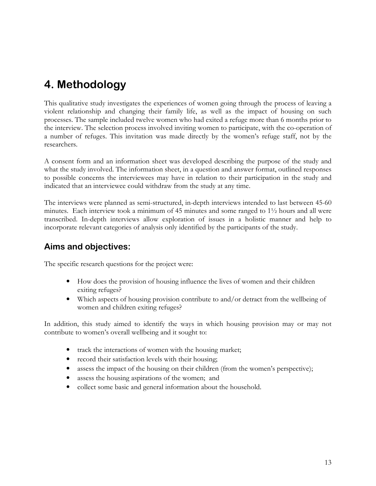## 4. Methodology

This qualitative study investigates the experiences of women going through the process of leaving a violent relationship and changing their family life, as well as the impact of housing on such processes. The sample included twelve women who had exited a refuge more than 6 months prior to the interview. The selection process involved inviting women to participate, with the co-operation of a number of refuges. This invitation was made directly by the women's refuge staff, not by the researchers.

A consent form and an information sheet was developed describing the purpose of the study and what the study involved. The information sheet, in a question and answer format, outlined responses to possible concerns the interviewees may have in relation to their participation in the study and indicated that an interviewee could withdraw from the study at any time.

The interviews were planned as semi-structured, in-depth interviews intended to last between 45-60 minutes. Each interview took a minimum of 45 minutes and some ranged to  $1\frac{1}{2}$  hours and all were transcribed. In-depth interviews allow exploration of issues in a holistic manner and help to incorporate relevant categories of analysis only identified by the participants of the study.

## Aims and objectives:

The specific research questions for the project were:

- How does the provision of housing influence the lives of women and their children exiting refuges?
- Which aspects of housing provision contribute to and/or detract from the wellbeing of women and children exiting refuges?

In addition, this study aimed to identify the ways in which housing provision may or may not contribute to women's overall wellbeing and it sought to:

- track the interactions of women with the housing market;
- record their satisfaction levels with their housing;
- assess the impact of the housing on their children (from the women's perspective);
- assess the housing aspirations of the women; and
- collect some basic and general information about the household.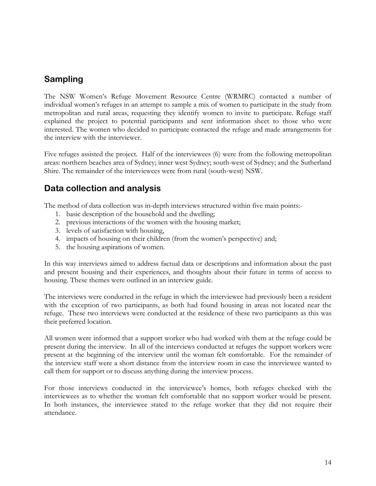## Sampling

The NSW Women's Refuge Movement Resource Centre (WRMRC) contacted a number of individual women's refuges in an attempt to sample a mix of women to participate in the study from metropolitan and rural areas, requesting they identify women to invite to participate. Refuge staff explained the project to potential participants and sent information sheet to those who were interested. The women who decided to participate contacted the refuge and made arrangements for the interview with the interviewer.

Five refuges assisted the project. Half of the interviewees (6) were from the following metropolitan areas: northern beaches area of Sydney; inner west Sydney; south-west of Sydney; and the Sutherland Shire. The remainder of the interviewees were from rural (south-west) NSW.

### Data collection and analysis

The method of data collection was in-depth interviews structured within five main points:-

- 1. basic description of the household and the dwelling;
- 2. previous interactions of the women with the housing market;
- 3. levels of satisfaction with housing,
- 4. impacts of housing on their children (from the women's perspective) and;
- 5. the housing aspirations of women.

In this way interviews aimed to address factual data or descriptions and information about the past and present housing and their experiences, and thoughts about their future in terms of access to housing. These themes were outlined in an interview guide.

The interviews were conducted in the refuge in which the interviewee had previously been a resident with the exception of two participants, as both had found housing in areas not located near the refuge. These two interviews were conducted at the residence of these two participants as this was their preferred location.

All women were informed that a support worker who had worked with them at the refuge could be present during the interview. In all of the interviews conducted at refuges the support workers were present at the beginning of the interview until the woman felt comfortable. For the remainder of the interview staff were a short distance from the interview room in case the interviewee wanted to call them for support or to discuss anything during the interview process.

For those interviews conducted in the interviewee's homes, both refuges checked with the interviewees as to whether the woman felt comfortable that no support worker would be present. In both instances, the interviewee stated to the refuge worker that they did not require their attendance.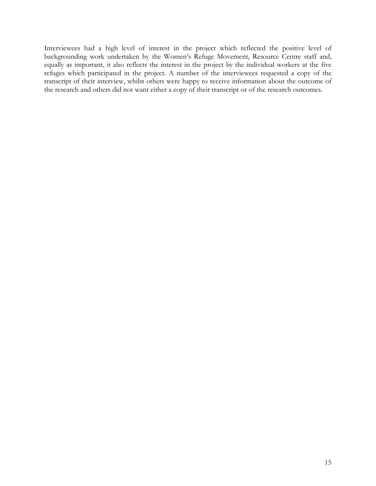Interviewees had a high level of interest in the project which reflected the positive level of backgrounding work undertaken by the Women's Refuge Movement, Resource Centre staff and, equally as important, it also reflects the interest in the project by the individual workers at the five refuges which participated in the project. A number of the interviewees requested a copy of the transcript of their interview, whilst others were happy to receive information about the outcome of the research and others did not want either a copy of their transcript or of the research outcomes.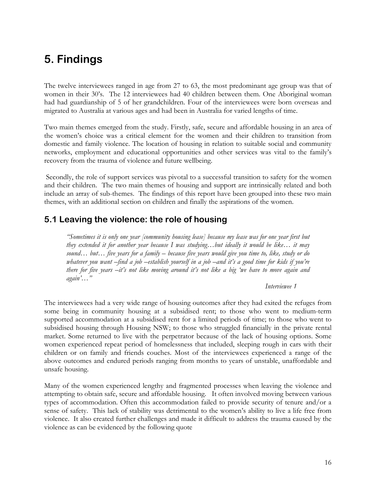## 5. Findings

The twelve interviewees ranged in age from 27 to 63, the most predominant age group was that of women in their 30's. The 12 interviewees had 40 children between them. One Aboriginal woman had had guardianship of 5 of her grandchildren. Four of the interviewees were born overseas and migrated to Australia at various ages and had been in Australia for varied lengths of time.

Two main themes emerged from the study. Firstly, safe, secure and affordable housing in an area of the women's choice was a critical element for the women and their children to transition from domestic and family violence. The location of housing in relation to suitable social and community networks, employment and educational opportunities and other services was vital to the family's recovery from the trauma of violence and future wellbeing.

 Secondly, the role of support services was pivotal to a successful transition to safety for the women and their children. The two main themes of housing and support are intrinsically related and both include an array of sub-themes. The findings of this report have been grouped into these two main themes, with an additional section on children and finally the aspirations of the women.

### 5.1 Leaving the violence: the role of housing

"Sometimes it is only one year [community housing lease] because my lease was for one year first but they extended it for another year because I was studying…but ideally it would be like… it may sound... but... five years for a family – because five years would give you time to, like, study or do whatever you want –find a job –establish yourself in a job –and it's a good time for kids if you're there for five years –it's not like moving around it's not like a big 'we have to move again and again'…"

#### Interviewee 1

The interviewees had a very wide range of housing outcomes after they had exited the refuges from some being in community housing at a subsidised rent; to those who went to medium-term supported accommodation at a subsidised rent for a limited periods of time; to those who went to subsidised housing through Housing NSW; to those who struggled financially in the private rental market. Some returned to live with the perpetrator because of the lack of housing options. Some women experienced repeat period of homelessness that included, sleeping rough in cars with their children or on family and friends couches. Most of the interviewees experienced a range of the above outcomes and endured periods ranging from months to years of unstable, unaffordable and unsafe housing.

Many of the women experienced lengthy and fragmented processes when leaving the violence and attempting to obtain safe, secure and affordable housing. It often involved moving between various types of accommodation. Often this accommodation failed to provide security of tenure and/or a sense of safety. This lack of stability was detrimental to the women's ability to live a life free from violence. It also created further challenges and made it difficult to address the trauma caused by the violence as can be evidenced by the following quote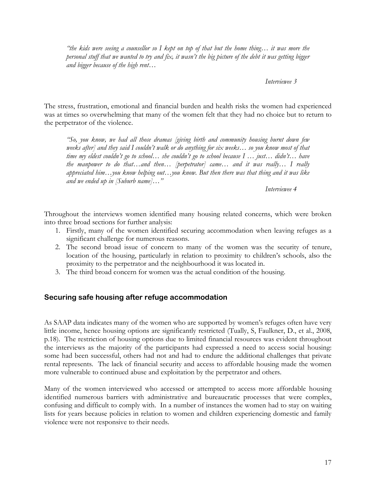"the kids were seeing a counsellor so I kept on top of that but the home thing… it was more the personal stuff that we wanted to try and fix, it wasn't the big picture of the debt it was getting bigger and bigger because of the high rent…

Interviewee 3

The stress, frustration, emotional and financial burden and health risks the women had experienced was at times so overwhelming that many of the women felt that they had no choice but to return to the perpetrator of the violence.

"So, you know, we had all those dramas [giving birth and community housing burnt down few weeks after] and they said I couldn't walk or do anything for six weeks… so you know most of that time my eldest couldn't go to school… she couldn't go to school because I … just… didn't… have the manpower to do that...and then... [perpetrator] came... and it was really... I really appreciated him…you know helping out…you know. But then there was that thing and it was like and we ended up in  $[Suburb name] \dots$ "

Interviewee 4

Throughout the interviews women identified many housing related concerns, which were broken into three broad sections for further analysis:

- 1. Firstly, many of the women identified securing accommodation when leaving refuges as a significant challenge for numerous reasons.
- 2. The second broad issue of concern to many of the women was the security of tenure, location of the housing, particularly in relation to proximity to children's schools, also the proximity to the perpetrator and the neighbourhood it was located in.
- 3. The third broad concern for women was the actual condition of the housing.

#### Securing safe housing after refuge accommodation

As SAAP data indicates many of the women who are supported by women's refuges often have very little income, hence housing options are significantly restricted (Tually, S, Faulkner, D., et al., 2008, p.18). The restriction of housing options due to limited financial resources was evident throughout the interviews as the majority of the participants had expressed a need to access social housing: some had been successful, others had not and had to endure the additional challenges that private rental represents. The lack of financial security and access to affordable housing made the women more vulnerable to continued abuse and exploitation by the perpetrator and others.

Many of the women interviewed who accessed or attempted to access more affordable housing identified numerous barriers with administrative and bureaucratic processes that were complex, confusing and difficult to comply with. In a number of instances the women had to stay on waiting lists for years because policies in relation to women and children experiencing domestic and family violence were not responsive to their needs.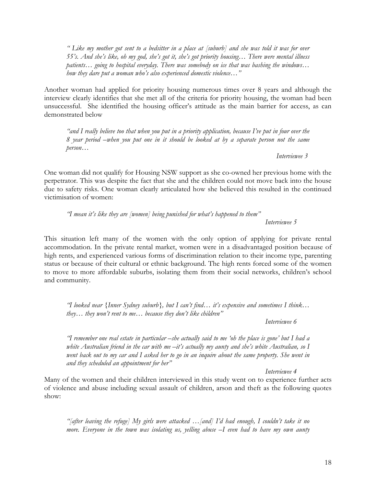" Like my mother got sent to a bedsitter in a place at [suburb] and she was told it was for over 55's. And she's like, oh my god, she's got it, she's got priority housing… There were mental illness patients… going to hospital everyday. There was somebody on ice that was bashing the windows… how they dare put a woman who's also experienced domestic violence..."

Another woman had applied for priority housing numerous times over 8 years and although the interview clearly identifies that she met all of the criteria for priority housing, the woman had been unsuccessful. She identified the housing officer's attitude as the main barrier for access, as can demonstrated below

"and I really believe too that when you put in a priority application, because I've put in four over the 8 year period –when you put one in it should be looked at by a separate person not the same person…

Interviewee 3

One woman did not qualify for Housing NSW support as she co-owned her previous home with the perpetrator. This was despite the fact that she and the children could not move back into the house due to safety risks. One woman clearly articulated how she believed this resulted in the continued victimisation of women:

"I mean it's like they are [women] being punished for what's happened to them" Interviewee 5

This situation left many of the women with the only option of applying for private rental accommodation. In the private rental market, women were in a disadvantaged position because of high rents, and experienced various forms of discrimination relation to their income type, parenting status or because of their cultural or ethnic background. The high rents forced some of the women to move to more affordable suburbs, isolating them from their social networks, children's school and community.

"I looked near {Inner Sydney suburb}, but I can't find… it's expensive and sometimes I think… they... they won't rent to me... because they don't like children"

Interviewee 6

"I remember one real estate in particular –she actually said to me 'oh the place is gone' but I had a white Australian friend in the car with me –it's actually my aunty and she's white Australian, so I went back out to my car and I asked her to go in an inquire about the same property. She went in and they scheduled an appointment for her"

Interviewee 4

Many of the women and their children interviewed in this study went on to experience further acts of violence and abuse including sexual assault of children, arson and theft as the following quotes show:

"[after leaving the refuge] My girls were attacked …[and] I'd had enough, I couldn't take it no more. Everyone in the town was isolating us, yelling abuse –I even had to have my own aunty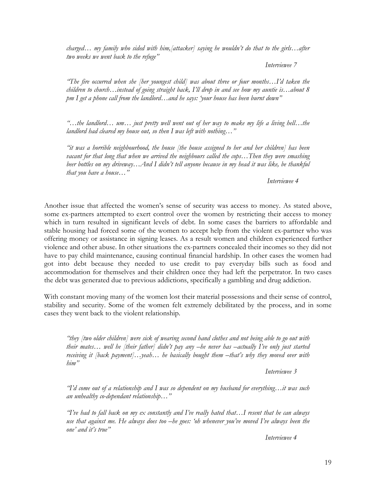charged... my family who sided with him, [attacker] saying he wouldn't do that to the girls... after two weeks we went back to the refuge"

Interviewee 7

"The fire occurred when she [her youngest child] was about three or four months…I'd taken the children to church…instead of going straight back, I'll drop in and see how my auntie is…about 8 pm I get a phone call from the landlord...and he says: 'your house has been burnt down''

"…the landlord… um… just pretty well went out of her way to make my life a living hell…the landlord had cleared my house out, so then I was left with nothing..."

"it was a horrible neighbourhood, the house [the house assigned to her and her children] has been vacant for that long that when we arrived the neighbours called the cops…Then they were smashing beer bottles on my driveway…And I didn't tell anyone because in my head it was like, be thankful that you have a house..."

Interviewee 4

Another issue that affected the women's sense of security was access to money. As stated above, some ex-partners attempted to exert control over the women by restricting their access to money which in turn resulted in significant levels of debt. In some cases the barriers to affordable and stable housing had forced some of the women to accept help from the violent ex-partner who was offering money or assistance in signing leases. As a result women and children experienced further violence and other abuse. In other situations the ex-partners concealed their incomes so they did not have to pay child maintenance, causing continual financial hardship. In other cases the women had got into debt because they needed to use credit to pay everyday bills such as food and accommodation for themselves and their children once they had left the perpetrator. In two cases the debt was generated due to previous addictions, specifically a gambling and drug addiction.

With constant moving many of the women lost their material possessions and their sense of control, stability and security. Some of the women felt extremely debilitated by the process, and in some cases they went back to the violent relationship.

"they [two older children] were sick of wearing second hand clothes and not being able to go out with their mates… well he [their father] didn't pay any –he never has –actually I've only just started receiving it [back payment]...yeah... he basically bought them -that's why they moved over with him"

Interviewee 3

"I'd come out of a relationship and I was so dependent on my husband for everything…it was such an unhealthy co-dependant relationship…"

"I've had to fall back on my ex constantly and I've really hated that...I resent that he can always use that against me. He always does too –he goes: 'oh whenever you've moved I've always been the one' and it's true"

Interviewee 4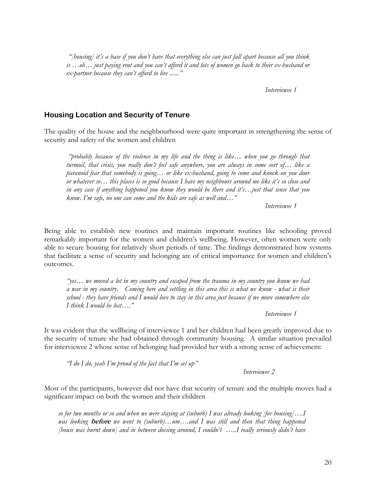"[housing] it's a base if you don't have that everything else can just fall apart because all you think is …oh… just paying rent and you can't afford it and lots of women go back to their ex-husband or ex-partner because they can't afford to live ......"

Interviewee 1

#### Housing Location and Security of Tenure

The quality of the house and the neighbourhood were quite important in strengthening the sense of security and safety of the women and children

 "probably because of the violence in my life and the thing is like… when you go through that turmoil, that crisis, you really don't feel safe anywhere, you are always in some sort of… like a paranoid fear that somebody is going… or like ex-husband, going to come and knock on you door or whatever so… this places is so good because I have my neighbours around me like it's so close and in any case if anything happened you know they would be there and it's…just that sense that you know. I'm safe, no one can come and the kids are safe as well and…"

Interviewee 1

Being able to establish new routines and maintain important routines like schooling proved remarkably important for the women and children's wellbeing. However, often women were only able to secure housing for relatively short periods of time. The findings demonstrated how systems that facilitate a sense of security and belonging are of critical importance for women and children's outcomes.

"yes… we moved a lot in my country and escaped from the trauma in my country you know we had a war in my country. Coming here and settling in this area this is what we know - what is their school - they have friends and I would love to stay in this area just because if we move somewhere else I think I would be lost…."

Interviewee 1

It was evident that the wellbeing of interviewee 1 and her children had been greatly improved due to the security of tenure she had obtained through community housing. A similar situation prevailed for interviewee 2 whose sense of belonging had provided her with a strong sense of achievement:

"I do I do, yeah I'm proud of the fact that I'm set up"

Interviewee 2

Most of the participants, however did not have that security of tenure and the multiple moves had a significant impact on both the women and their children

so for two months or so and when we were staying at (suburb) I was already looking [for housing]….I was looking **before** we went to (suburb)...um....and I was still and then that thing happened [house was burnt down] and in between dossing around, I couldn't …..I really seriously didn't have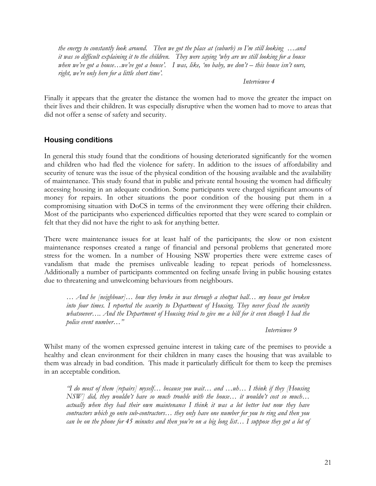the energy to constantly look around. Then we got the place at (suburb) so I'm still looking  $\dots$  and it was so difficult explaining it to the children. They were saying 'why are we still looking for a house when we've got a house...we've got a house'. I was, like, 'no baby, we don't  $-$  this house isn't ours, right, we're only here for a little short time'.

#### Interviewee 4

Finally it appears that the greater the distance the women had to move the greater the impact on their lives and their children. It was especially disruptive when the women had to move to areas that did not offer a sense of safety and security.

#### Housing conditions

In general this study found that the conditions of housing deteriorated significantly for the women and children who had fled the violence for safety. In addition to the issues of affordability and security of tenure was the issue of the physical condition of the housing available and the availability of maintenance. This study found that in public and private rental housing the women had difficulty accessing housing in an adequate condition. Some participants were charged significant amounts of money for repairs. In other situations the poor condition of the housing put them in a compromising situation with DoCS in terms of the environment they were offering their children. Most of the participants who experienced difficulties reported that they were scared to complain or felt that they did not have the right to ask for anything better.

There were maintenance issues for at least half of the participants; the slow or non existent maintenance responses created a range of financial and personal problems that generated more stress for the women. In a number of Housing NSW properties there were extreme cases of vandalism that made the premises unliveable leading to repeat periods of homelessness. Additionally a number of participants commented on feeling unsafe living in public housing estates due to threatening and unwelcoming behaviours from neighbours.

… And he [neighbour]… how they broke in was through a shotput ball… my house got broken into four times. I reported the security to Department of Housing. They never fixed the security whatsoever.... And the Department of Housing tried to give me a bill for it even though I had the police event number…"

Interviewee 9

Whilst many of the women expressed genuine interest in taking care of the premises to provide a healthy and clean environment for their children in many cases the housing that was available to them was already in bad condition. This made it particularly difficult for them to keep the premises in an acceptable condition.

"I do most of them [repairs] myself… because you wait… and …uh… I think if they [Housing NSW] did, they wouldn't have so much trouble with the house… it wouldn't cost so much… actually when they had their own maintenance I think it was a lot better but now they have contractors which go onto sub-contractors… they only have one number for you to ring and then you can be on the phone for 45 minutes and then you're on a big long list… I suppose they got a lot of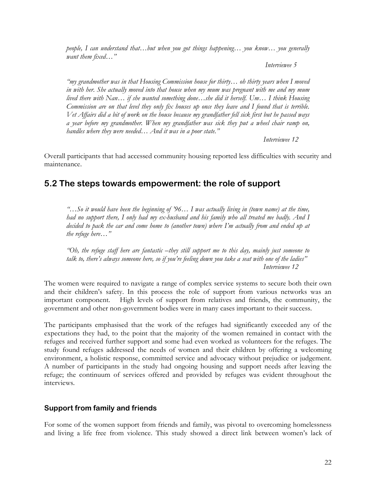people, I can understand that…but when you got things happening… you know… you generally want them fixed..."

Interviewee 5

"my grandmother was in that Housing Commission house for thirty… oh thirty years when I moved in with her. She actually moved into that house when my mum was pregnant with me and my mum lived there with Nan… if she wanted something done…she did it herself. Um… I think Housing Commission are on that level they only fix houses up once they leave and I found that is terrible. Vet Affairs did a bit of work on the house because my grandfather fell sick first but he passed ways a year before my grandmother. When my grandfather was sick they put a wheel chair ramp on, handles where they were needed... And it was in a poor state."

Interviewee 12

Overall participants that had accessed community housing reported less difficulties with security and maintenance.

### 5.2 The steps towards empowerment: the role of support

"…So it would have been the beginning of '96… I was actually living in (town name) at the time, had no support there, I only had my ex-husband and his family who all treated me badly. And I decided to pack the car and come home to (another town) where I'm actually from and ended up at the refuge here…"

"Oh, the refuge staff here are fantastic –they still support me to this day, mainly just someone to talk to, there's always someone here, so if you're feeling down you take a seat with one of the ladies" Interviewee 12

The women were required to navigate a range of complex service systems to secure both their own and their children's safety. In this process the role of support from various networks was an important component. High levels of support from relatives and friends, the community, the government and other non-government bodies were in many cases important to their success.

The participants emphasised that the work of the refuges had significantly exceeded any of the expectations they had, to the point that the majority of the women remained in contact with the refuges and received further support and some had even worked as volunteers for the refuges. The study found refuges addressed the needs of women and their children by offering a welcoming environment, a holistic response, committed service and advocacy without prejudice or judgement. A number of participants in the study had ongoing housing and support needs after leaving the refuge; the continuum of services offered and provided by refuges was evident throughout the interviews.

#### Support from family and friends

For some of the women support from friends and family, was pivotal to overcoming homelessness and living a life free from violence. This study showed a direct link between women's lack of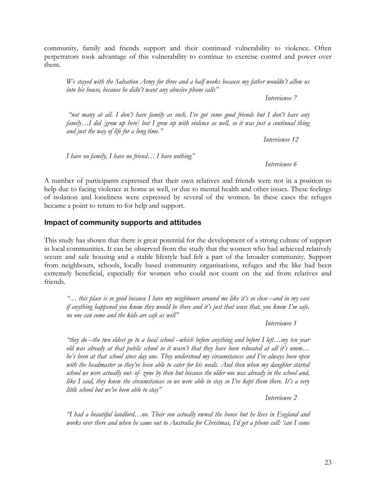community, family and friends support and their continued vulnerability to violence. Often perpetrators took advantage of this vulnerability to continue to exercise control and power over them.

We stayed with the Salvation Army for three and a half weeks because my father wouldn't allow us into his house, because he didn't want any abusive phone calls"

Interviewee 7

"not many at all. I don't have family as such, I've got some good friends but I don't have any family...I did [grow up here] but I grew up with violence as well, so it was just a continual thing and just the way of life for a long time."

Interviewee 12

I have no family, I have no friend... I have nothing"

Interviewee 6

A number of participants expressed that their own relatives and friends were not in a position to help due to facing violence at home as well, or due to mental health and other issues. These feelings of isolation and loneliness were expressed by several of the women. In these cases the refuges became a point to return to for help and support.

#### Impact of community supports and attitudes

This study has shown that there is great potential for the development of a strong culture of support in local communities. It can be observed from the study that the women who had achieved relatively secure and safe housing and a stable lifestyle had felt a part of the broader community. Support from neighbours, schools, locally based community organisations, refuges and the like had been extremely beneficial, especially for women who could not count on the aid from relatives and friends.

"… this place is so good because I have my neighbours around me like it's so close –and in my case if anything happened you know they would be there and it's just that sense that, you know I'm safe, no one can come and the kids are safe as well"

Interviewee 1

"they do –the two eldest go to a local school –which before anything and before I left...my ten year old was already at that public school so it wasn't that they have been relocated at all it's umm… he's been at that school since day one. They understood my circumstances and I've always been open with the headmaster so they've been able to cater for his needs. And then when my daughter started school we were actually out- of- zone by then but because the older one was already in the school and, like I said, they knew the circumstances so we were able to stay so I've kept them there. It's a very little school but we've been able to stay"

Interviewee 2

"I had a beautiful landlord…no. Their son actually owned the house but he lives in England and works over there and when he came out to Australia for Christmas, I'd get a phone call: 'can I come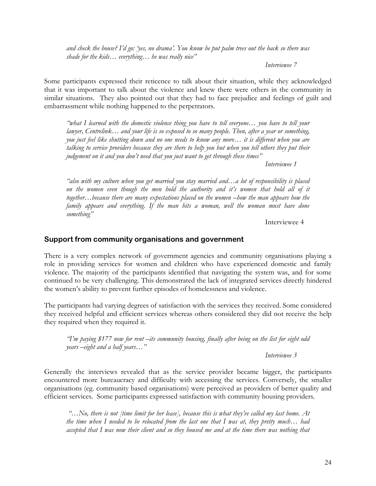and check the house? I'd go: 'yes, no drama'. You know he put palm trees out the back so there was shade for the kids... everything... he was really nice"

Interviewee 7

Some participants expressed their reticence to talk about their situation, while they acknowledged that it was important to talk about the violence and knew there were others in the community in similar situations. They also pointed out that they had to face prejudice and feelings of guilt and embarrassment while nothing happened to the perpetrators.

"what I learned with the domestic violence thing you have to tell everyone… you have to tell your lawyer, Centrelink... and your life is so exposed to so many people. Then, after a year or something, you just feel like shutting down and no one needs to know any more… it is different when you are talking to service providers because they are there to help you but when you tell others they put their judgement on it and you don't need that you just want to get through these times"

Interviewee 1

"also with my culture when you get married you stay married and…a lot of responsibility is placed on the women even though the men hold the authority and it's women that hold all of it together…because there are many expectations placed on the women –how the man appears how the family appears and everything. If the man hits a woman, well the woman must have done something"

Interviewee 4

#### Support from community organisations and government

There is a very complex network of government agencies and community organisations playing a role in providing services for women and children who have experienced domestic and family violence. The majority of the participants identified that navigating the system was, and for some continued to be very challenging. This demonstrated the lack of integrated services directly hindered the women's ability to prevent further episodes of homelessness and violence.

The participants had varying degrees of satisfaction with the services they received. Some considered they received helpful and efficient services whereas others considered they did not receive the help they required when they required it.

"I'm paying \$177 now for rent –its community housing, finally after being on the list for eight odd years –eight and a half years…"

Interviewee 3

Generally the interviews revealed that as the service provider became bigger, the participants encountered more bureaucracy and difficulty with accessing the services. Conversely, the smaller organisations (eg. community based organisations) were perceived as providers of better quality and efficient services. Some participants expressed satisfaction with community housing providers.

"...No, there is not [time limit for her lease], because this is what they've called my last home. At the time when I needed to be relocated from the last one that I was at, they pretty much... had accepted that I was now their client and so they housed me and at the time there was nothing that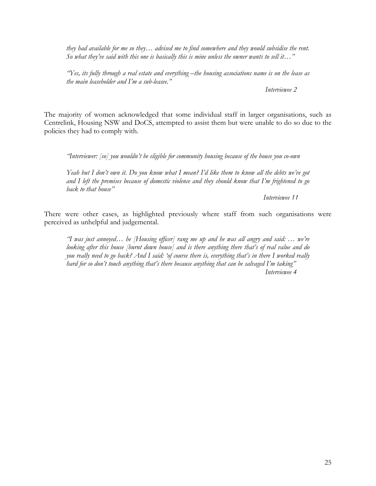they had available for me so they… advised me to find somewhere and they would subsidise the rent. So what they've said with this one is basically this is mine unless the owner wants to sell it..."

"Yes, its fully through a real estate and everything –the housing associations name is on the lease as the main leaseholder and I'm a sub-leasee."

Interviewee 2

The majority of women acknowledged that some individual staff in larger organisations, such as Centrelink, Housing NSW and DoCS, attempted to assist them but were unable to do so due to the policies they had to comply with.

"Interviewer: [so] you wouldn't be eligible for community housing because of the house you co-own

Yeah but I don't own it. Do you know what I mean? I'd like them to know all the debts we've got and I left the premises because of domestic violence and they should know that I'm frightened to go back to that house"

Interviewee 11

There were other cases, as highlighted previously where staff from such organisations were perceived as unhelpful and judgemental.

"I was just annoyed… he [Housing officer] rang me up and he was all angry and said: … we're looking after this house [burnt down house] and is there anything there that's of real value and do you really need to go back? And I said: 'of course there is, everything that's in there I worked really hard for so don't touch anything that's there because anything that can be salvaged I'm taking" Interviewee 4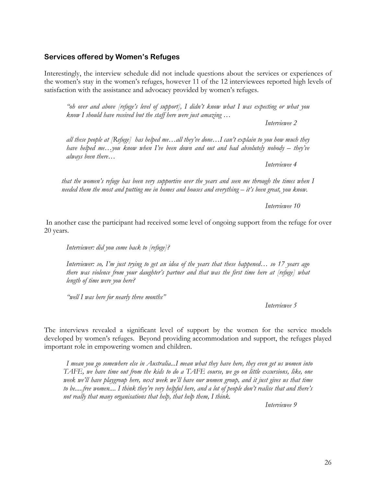#### 26

#### Services offered by Women's Refuges

Interestingly, the interview schedule did not include questions about the services or experiences of the women's stay in the women's refuges, however 11 of the 12 interviewees reported high levels of satisfaction with the assistance and advocacy provided by women's refuges.

"oh over and above [refuge's level of support], I didn't know what I was expecting or what you know I should have received but the staff here were just amazing ...

Interviewee 2

all these people at  $[Refuge]$  has helped me...all they've done...I can't explain to you how much they have helped me...you know when I've been down and out and had absolutely nobody – they've always been there…

Interviewee 4

that the women's refuge has been very supportive over the years and seen me through the times when I needed them the most and putting me in homes and houses and everything – it's been great, you know.

Interviewee 10

 In another case the participant had received some level of ongoing support from the refuge for over 20 years.

Interviewer: did you come back to [refuge]?

Interviewer: so, I'm just trying to get an idea of the years that these happened… so 17 years ago there was violence from your daughter's partner and that was the first time here at [refuge] what length of time were you here?

"well I was here for nearly three months"

Interviewee 5

The interviews revealed a significant level of support by the women for the service models developed by women's refuges. Beyond providing accommodation and support, the refuges played important role in empowering women and children.

I mean you go somewhere else in Australia...I mean what they have here, they even get us women into TAFE, we have time out from the kids to do a TAFE course, we go on little excursions, like, one week we'll have playgroup here, next week we'll have our women group, and it just gives us that time to be.....free women.... I think they're very helpful here, and a lot of people don't realise that and there's not really that many organisations that help, that help them, I think.

Interviewee 9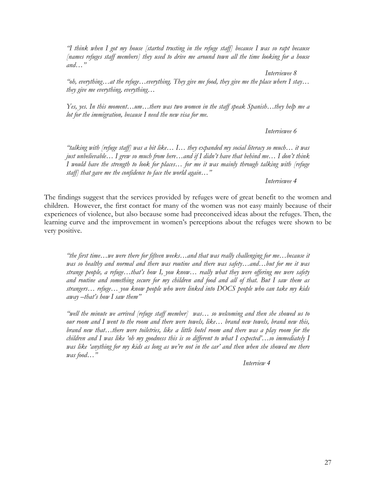"I think when I got my house [started trusting in the refuge staff] because I was so rapt because [names refuges staff members] they used to drive me around town all the time looking for a house and…"

 Interviewee 8 "oh, everything... at the refuge... everything. They give me food, they give me the place where I stay... they give me everything, everything…

Yes, yes. In this moment…um…there was two women in the staff speak Spanish…they help me a lot for the immigration, because I need the new visa for me.

Interviewee 6

"talking with [refuge staff] was a bit like… I… they expanded my social literacy so much… it was just unbelievable… I grew so much from here…and if I didn't have that behind me… I don't think I would have the strength to look for places… for me it was mainly through talking with [refuge staff] that gave me the confidence to face the world again..."

Interviewee 4

The findings suggest that the services provided by refuges were of great benefit to the women and children. However, the first contact for many of the women was not easy mainly because of their experiences of violence, but also because some had preconceived ideas about the refuges. Then, the learning curve and the improvement in women's perceptions about the refuges were shown to be very positive.

"the first time…we were there for fifteen weeks…and that was really challenging for me…because it was so healthy and normal and there was routine and there was safety...and...but for me it was strange people, a refuge…that's how I, you know… really what they were offering me were safety and routine and something secure for my children and food and all of that. But I saw them as strangers… refuge… you know people who were linked into DOCS people who can take my kids away  $-that's$  how I saw them"

"well the minute we arrived [refuge staff member] was… so welcoming and then she showed us to our room and I went to the room and there were towels, like… brand new towels, brand new this, brand new that…there were toiletries, like a little hotel room and there was a play room for the children and I was like 'oh my goodness this is so different to what I expected'…so immediately I was like 'anything for my kids as long as we're not in the car' and then when she showed me there was food…"

Interview 4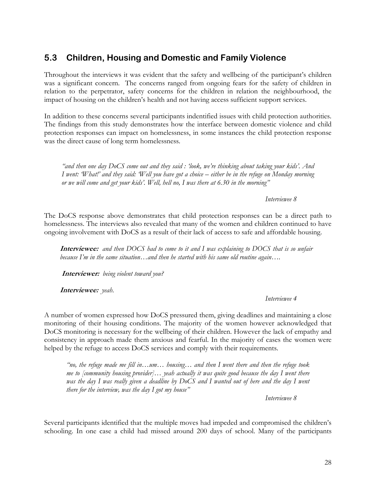## 5.3 Children, Housing and Domestic and Family Violence

Throughout the interviews it was evident that the safety and wellbeing of the participant's children was a significant concern. The concerns ranged from ongoing fears for the safety of children in relation to the perpetrator, safety concerns for the children in relation the neighbourhood, the impact of housing on the children's health and not having access sufficient support services.

In addition to these concerns several participants indentified issues with child protection authorities. The findings from this study demonstrates how the interface between domestic violence and child protection responses can impact on homelessness, in some instances the child protection response was the direct cause of long term homelessness.

"and then one day DoCS come out and they said : 'look, we're thinking about taking your kids'. And I went: 'What!' and they said: 'Well you have got a choice – either be in the refuge on Monday morning or we will come and get your kids'. Well, hell no, I was there at 6.30 in the morning"

#### Interviewee 8

The DoCS response above demonstrates that child protection responses can be a direct path to homelessness. The interviews also revealed that many of the women and children continued to have ongoing involvement with DoCS as a result of their lack of access to safe and affordable housing.

Interviewee: and then DOCS had to come to it and I was explaining to DOCS that is so unfair because I'm in the same situation...and then he started with his same old routine again....

Interviewer: being violent toward you?

Interviewee: yeah.

#### Interviewee 4

A number of women expressed how DoCS pressured them, giving deadlines and maintaining a close monitoring of their housing conditions. The majority of the women however acknowledged that DoCS monitoring is necessary for the wellbeing of their children. However the lack of empathy and consistency in approach made them anxious and fearful. In the majority of cases the women were helped by the refuge to access DoCS services and comply with their requirements.

"no, the refuge made me fill in...um... housing... and then I went there and then the refuge took me to [community housing provider]... yeah actually it was quite good because the day I went there was the day I was really given a deadline by DoCS and I wanted out of here and the day I went there for the interview, was the day  $I$  got my house"

Interviewee 8

Several participants identified that the multiple moves had impeded and compromised the children's schooling. In one case a child had missed around 200 days of school. Many of the participants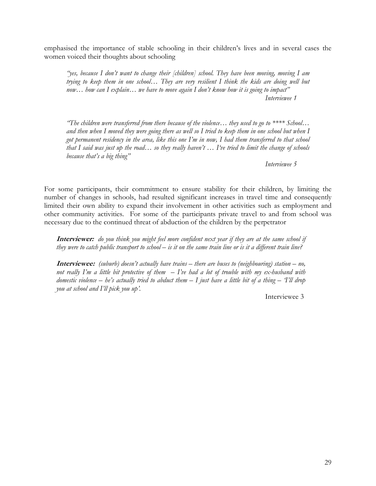emphasised the importance of stable schooling in their children's lives and in several cases the women voiced their thoughts about schooling

"yes, because I don't want to change their [children] school. They have been moving, moving I am trying to keep them in one school… They are very resilient I think the kids are doing well but now... how can I explain... we have to move again I don't know how it is going to impact" Interviewee 1

"The children were transferred from there because of the violence... they used to go to  $****$  School... and then when I moved they were going there as well so I tried to keep them in one school but when I got permanent residency in the area, like this one I'm in now, I had them transferred to that school that I said was just up the road… so they really haven't … I've tried to limit the change of schools because that's a big thing"

Interviewee 5

For some participants, their commitment to ensure stability for their children, by limiting the number of changes in schools, had resulted significant increases in travel time and consequently limited their own ability to expand their involvement in other activities such as employment and other community activities. For some of the participants private travel to and from school was necessary due to the continued threat of abduction of the children by the perpetrator

Interviewer: do you think you might feel more confident next year if they are at the same school if they were to catch public transport to school – is it on the same train line or is it a different train line?

**Interviewee:** (suburb) doesn't actually have trains – there are buses to (neighbouring) station – no, not really I'm a little bit protective of them  $-$  I've had a lot of trouble with my ex-husband with domestic violence – he's actually tried to abduct them  $-$  I just have a little bit of a thing  $-$  T'll drop you at school and I'll pick you up'.

Interviewee 3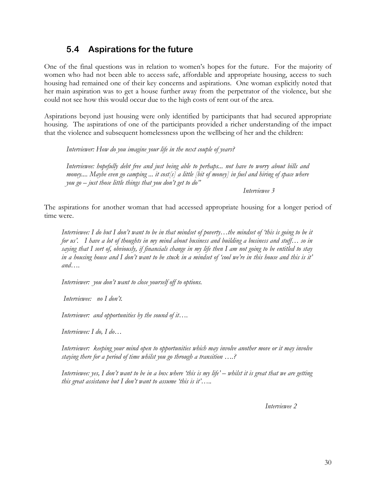### 5.4 Aspirations for the future

One of the final questions was in relation to women's hopes for the future. For the majority of women who had not been able to access safe, affordable and appropriate housing, access to such housing had remained one of their key concerns and aspirations. One woman explicitly noted that her main aspiration was to get a house further away from the perpetrator of the violence, but she could not see how this would occur due to the high costs of rent out of the area.

Aspirations beyond just housing were only identified by participants that had secured appropriate housing. The aspirations of one of the participants provided a richer understanding of the impact that the violence and subsequent homelessness upon the wellbeing of her and the children:

Interviewer: How do you imagine your life in the next couple of years?

Interviewee: hopefully debt free and just being able to perhaps... not have to worry about bills and money.... Maybe even go camping ... it cost[s] a little [bit of money] in fuel and hiring of space where you go  $-$  just those little things that you don't get to do"

Interviewee 3

The aspirations for another woman that had accessed appropriate housing for a longer period of time were.

Interviewee: I do but I don't want to be in that mindset of poverty…the mindset of 'this is going to be it for us'. I have a lot of thoughts in my mind about business and building a business and stuff... so in saying that I sort of, obviously, if financials change in my life then I am not going to be entitled to stay in a housing house and I don't want to be stuck in a mindset of 'cool we're in this house and this is it' and….

Interviewer: you don't want to close yourself off to options.

Interviewee: no I don't.

Interviewer: and opportunities by the sound of it....

Interviewee: I do, I do…

Interviewer: keeping your mind open to opportunities which may involve another move or it may involve staying there for a period of time whilst you go through a transition ….?

Interviewee: yes, I don't want to be in a box where 'this is my life' – whilst it is great that we are getting this great assistance but  $I$  don't want to assume 'this is it'.....

Interviewee 2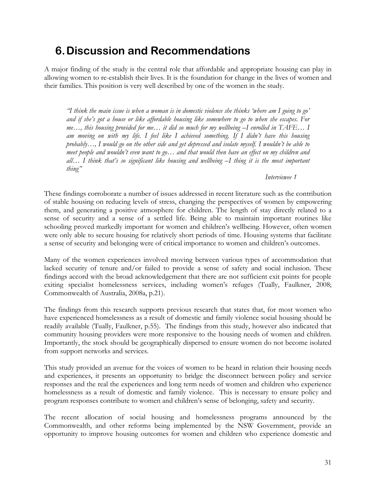## 6.Discussion and Recommendations

A major finding of the study is the central role that affordable and appropriate housing can play in allowing women to re-establish their lives. It is the foundation for change in the lives of women and their families. This position is very well described by one of the women in the study.

"I think the main issue is when a woman is in domestic violence she thinks 'where am I going to go' and if she's got a house or like affordable housing like somewhere to go to when she escapes. For me…, this housing provided for me… it did so much for my wellbeing –I enrolled in TAFE… I am moving on with my life. I feel like I achieved something. If I didn't have this housing probably…, I would go on the other side and get depressed and isolate myself. I wouldn't be able to meet people and wouldn't even want to go... and that would then have an effect on my children and all… I think that's so significant like housing and wellbeing –I thing it is the most important thing"

#### Interviewee 1

These findings corroborate a number of issues addressed in recent literature such as the contribution of stable housing on reducing levels of stress, changing the perspectives of women by empowering them, and generating a positive atmosphere for children. The length of stay directly related to a sense of security and a sense of a settled life. Being able to maintain important routines like schooling proved markedly important for women and children's wellbeing. However, often women were only able to secure housing for relatively short periods of time. Housing systems that facilitate a sense of security and belonging were of critical importance to women and children's outcomes.

Many of the women experiences involved moving between various types of accommodation that lacked security of tenure and/or failed to provide a sense of safety and social inclusion. These findings accord with the broad acknowledgement that there are not sufficient exit points for people exiting specialist homelessness services, including women's refuges (Tually, Faulkner, 2008; Commonwealth of Australia, 2008a, p.21).

The findings from this research supports previous research that states that, for most women who have experienced homelessness as a result of domestic and family violence social housing should be readily available (Tually, Faulkner, p.55). The findings from this study, however also indicated that community housing providers were more responsive to the housing needs of women and children. Importantly, the stock should be geographically dispersed to ensure women do not become isolated from support networks and services.

This study provided an avenue for the voices of women to be heard in relation their housing needs and experiences, it presents an opportunity to bridge the disconnect between policy and service responses and the real the experiences and long term needs of women and children who experience homelessness as a result of domestic and family violence. This is necessary to ensure policy and program responses contribute to women and children's sense of belonging, safety and security.

The recent allocation of social housing and homelessness programs announced by the Commonwealth, and other reforms being implemented by the NSW Government, provide an opportunity to improve housing outcomes for women and children who experience domestic and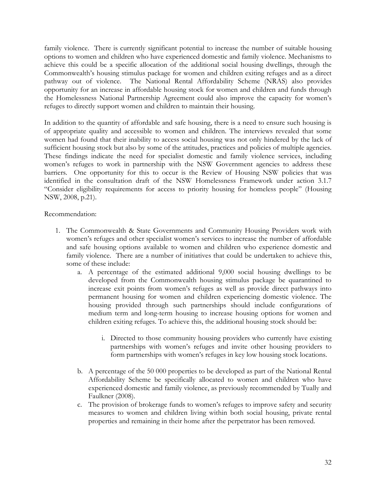family violence. There is currently significant potential to increase the number of suitable housing options to women and children who have experienced domestic and family violence. Mechanisms to achieve this could be a specific allocation of the additional social housing dwellings, through the Commonwealth's housing stimulus package for women and children exiting refuges and as a direct pathway out of violence. The National Rental Affordability Scheme (NRAS) also provides opportunity for an increase in affordable housing stock for women and children and funds through the Homelessness National Partnership Agreement could also improve the capacity for women's refuges to directly support women and children to maintain their housing.

In addition to the quantity of affordable and safe housing, there is a need to ensure such housing is of appropriate quality and accessible to women and children. The interviews revealed that some women had found that their inability to access social housing was not only hindered by the lack of sufficient housing stock but also by some of the attitudes, practices and policies of multiple agencies. These findings indicate the need for specialist domestic and family violence services, including women's refuges to work in partnership with the NSW Government agencies to address these barriers. One opportunity for this to occur is the Review of Housing NSW policies that was identified in the consultation draft of the NSW Homelessness Framework under action 3.1.7 "Consider eligibility requirements for access to priority housing for homeless people" (Housing NSW, 2008, p.21).

Recommendation:

- 1. The Commonwealth & State Governments and Community Housing Providers work with women's refuges and other specialist women's services to increase the number of affordable and safe housing options available to women and children who experience domestic and family violence. There are a number of initiatives that could be undertaken to achieve this, some of these include:
	- a. A percentage of the estimated additional 9,000 social housing dwellings to be developed from the Commonwealth housing stimulus package be quarantined to increase exit points from women's refuges as well as provide direct pathways into permanent housing for women and children experiencing domestic violence. The housing provided through such partnerships should include configurations of medium term and long-term housing to increase housing options for women and children exiting refuges. To achieve this, the additional housing stock should be:
		- i. Directed to those community housing providers who currently have existing partnerships with women's refuges and invite other housing providers to form partnerships with women's refuges in key low housing stock locations.
	- b. A percentage of the 50 000 properties to be developed as part of the National Rental Affordability Scheme be specifically allocated to women and children who have experienced domestic and family violence, as previously recommended by Tually and Faulkner (2008).
	- c. The provision of brokerage funds to women's refuges to improve safety and security measures to women and children living within both social housing, private rental properties and remaining in their home after the perpetrator has been removed.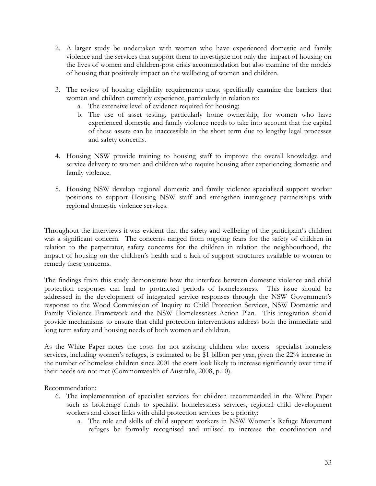- 2. A larger study be undertaken with women who have experienced domestic and family violence and the services that support them to investigate not only the impact of housing on the lives of women and children-post crisis accommodation but also examine of the models of housing that positively impact on the wellbeing of women and children.
- 3. The review of housing eligibility requirements must specifically examine the barriers that women and children currently experience, particularly in relation to:
	- a. The extensive level of evidence required for housing;
	- b. The use of asset testing, particularly home ownership, for women who have experienced domestic and family violence needs to take into account that the capital of these assets can be inaccessible in the short term due to lengthy legal processes and safety concerns.
- 4. Housing NSW provide training to housing staff to improve the overall knowledge and service delivery to women and children who require housing after experiencing domestic and family violence.
- 5. Housing NSW develop regional domestic and family violence specialised support worker positions to support Housing NSW staff and strengthen interagency partnerships with regional domestic violence services.

Throughout the interviews it was evident that the safety and wellbeing of the participant's children was a significant concern. The concerns ranged from ongoing fears for the safety of children in relation to the perpetrator, safety concerns for the children in relation the neighbourhood, the impact of housing on the children's health and a lack of support structures available to women to remedy these concerns.

The findings from this study demonstrate how the interface between domestic violence and child protection responses can lead to protracted periods of homelessness. This issue should be addressed in the development of integrated service responses through the NSW Government's response to the Wood Commission of Inquiry to Child Protection Services, NSW Domestic and Family Violence Framework and the NSW Homelessness Action Plan. This integration should provide mechanisms to ensure that child protection interventions address both the immediate and long term safety and housing needs of both women and children.

As the White Paper notes the costs for not assisting children who access specialist homeless services, including women's refuges, is estimated to be \$1 billion per year, given the 22% increase in the number of homeless children since 2001 the costs look likely to increase significantly over time if their needs are not met (Commonwealth of Australia, 2008, p.10).

Recommendation:

- 6. The implementation of specialist services for children recommended in the White Paper such as brokerage funds to specialist homelessness services, regional child development workers and closer links with child protection services be a priority:
	- a. The role and skills of child support workers in NSW Women's Refuge Movement refuges be formally recognised and utilised to increase the coordination and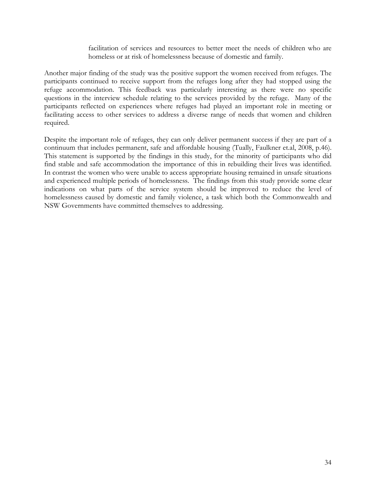facilitation of services and resources to better meet the needs of children who are homeless or at risk of homelessness because of domestic and family.

Another major finding of the study was the positive support the women received from refuges. The participants continued to receive support from the refuges long after they had stopped using the refuge accommodation. This feedback was particularly interesting as there were no specific questions in the interview schedule relating to the services provided by the refuge. Many of the participants reflected on experiences where refuges had played an important role in meeting or facilitating access to other services to address a diverse range of needs that women and children required.

Despite the important role of refuges, they can only deliver permanent success if they are part of a continuum that includes permanent, safe and affordable housing (Tually, Faulkner et.al, 2008, p.46). This statement is supported by the findings in this study, for the minority of participants who did find stable and safe accommodation the importance of this in rebuilding their lives was identified. In contrast the women who were unable to access appropriate housing remained in unsafe situations and experienced multiple periods of homelessness. The findings from this study provide some clear indications on what parts of the service system should be improved to reduce the level of homelessness caused by domestic and family violence, a task which both the Commonwealth and NSW Governments have committed themselves to addressing.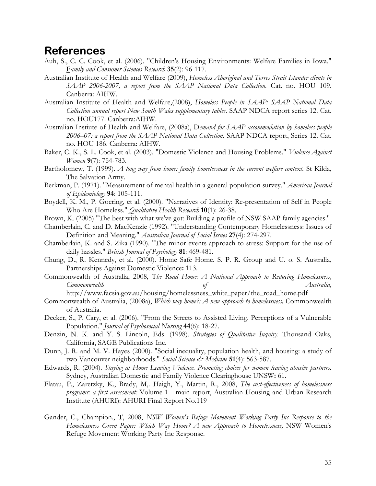## References

- Auh, S., C. C. Cook, et al. (2006). "Children's Housing Environments: Welfare Families in Iowa." Family and Consumer Sciences Research 35(2): 96-117.
- Australian Institute of Health and Welfare (2009), Homeless Aboriginal and Torres Strait Islander clients in SAAP 2006-2007, a report from the SAAP National Data Collection. Cat. no. HOU 109. Canberra: AIHW.
- Australian Institute of Health and Welfare,(2008), Homeless People in SAAP: SAAP National Data Collection annual report New South Wales supplementary tables. SAAP NDCA report series 12. Cat. no. HOU177. Canberra:AIHW.
- Australian Instiute of Health and Welfare, (2008a), Demand for SAAP accommodation by homeless people 2006–07: a report from the SAAP National Data Collection. SAAP NDCA report, Series 12. Cat. no. HOU 186. Canberra: AIHW.
- Baker, C. K., S. L. Cook, et al. (2003). "Domestic Violence and Housing Problems." *Violence Against* Women 9(7): 754-783.
- Bartholomew, T. (1999). A long way from home: family homelessness in the current welfare context. St Kilda, The Salvation Army.
- Berkman, P. (1971). "Measurement of mental health in a general population survey." *American Journal* of Epidemiology 94: 105-111.
- Boydell, K. M., P. Goering, et al. (2000). "Narratives of Identity: Re-presentation of Self in People Who Are Homeless." *Qualitative Health Research* 10(1): 26-38.
- Brown, K. (2005) "The best with what we've got: Building a profile of NSW SAAP family agencies."
- Chamberlain, C. and D. MacKenzie (1992). "Understanding Contemporary Homelessness: Issues of Definition and Meaning." Australian Journal of Social Issues 27(4): 274-297.
- Chamberlain, K. and S. Zika (1990). "The minor events approach to stress: Support for the use of daily hassles." British Journal of Psychology 81: 469-481.
- Chung, D., R. Kennedy, et al. (2000). Home Safe Home. S. P. R. Group and U. o. S. Australia, Partnerships Against Domestic Violence: 113.
- Commonwealth of Australia, 2008, The Road Home: A National Approach to Reducing Homelessness, Commonwealth of Australia, http://www.facsia.gov.au/housing/homelessness\_white\_paper/the\_road\_home.pdf
- Commonwealth of Australia, (2008a), Which way home?: A new approach to homelessness, Commonwealth of Australia.
- Decker, S., P. Cary, et al. (2006). "From the Streets to Assisted Living. Perceptions of a Vulnerable Population." *Journal of Psychosocial Nursing* 44(6): 18-27.
- Denzin, N. K. and Y. S. Lincoln, Eds. (1998). Strategies of Qualitative Inquiry. Thousand Oaks, California, SAGE Publications Inc.
- Dunn, J. R. and M. V. Hayes (2000). "Social inequality, population health, and housing: a study of two Vancouver neighborhoods." Social Science & Medicine 51(4): 563-587.
- Edwards, R. (2004). Staying at Home Leaving Violence. Promoting choices for women leaving abusive partners. Sydney, Australian Domestic and Family Violence Clearinghouse UNSW: 61.
- Flatau, P., Zaretzky, K., Brady, M,. Haigh, Y., Martin, R., 2008, The cost-effectiveness of homelessness programs: a first assessment: Volume 1 - main report, Australian Housing and Urban Research Institute (AHURI): AHURI Final Report No.119
- Gander, C., Champion., T, 2008, NSW Women's Refuge Movement Working Party Inc Response to the Homelessness Green Paper: Which Way Home? A new Approach to Homelessness, NSW Women's Refuge Movement Working Party Inc Response.